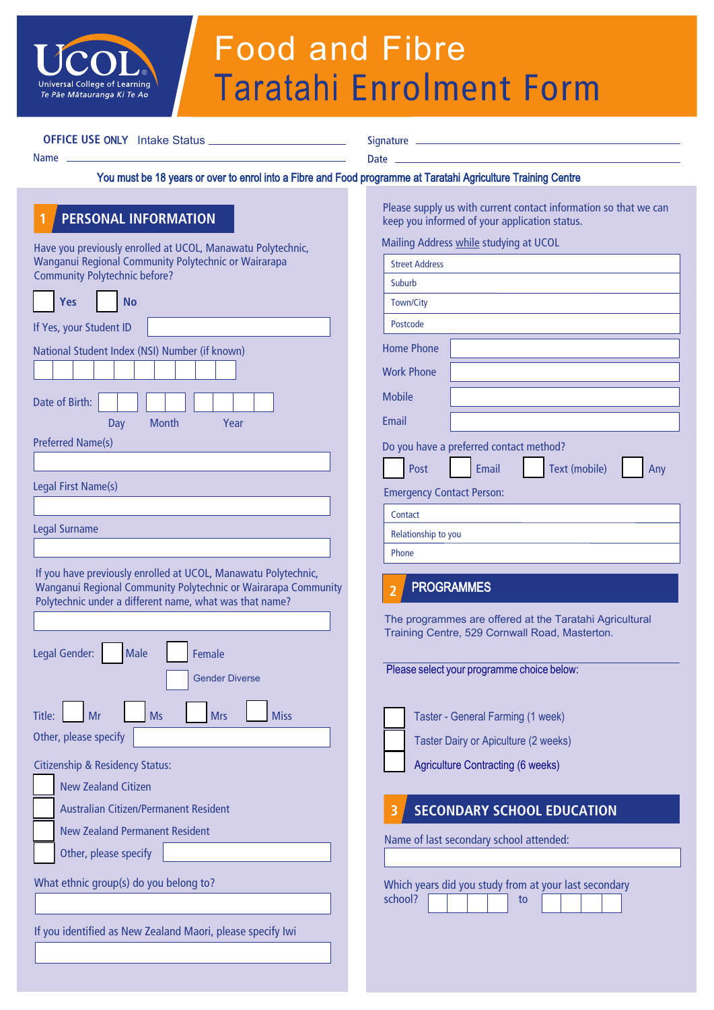

# Food and Fibre Taratahi Enrolment Form

**OFFICE USE ONLY** Intake Status

Name

Date \_\_

### You must be 18 years or over to enrol into a Fibre and Food programme at Taratahi Agriculture Training Centre

## **1 PERSONAL INFORMATION**

Have you previously enrolled at UCOL, Manawatu Polytechnic, Wanganui Regional Community Polytechnic or Wairarapa Community Polytechnic before?

| Yes<br><b>No</b>                                                                                                                                                                                                                                       |  |  |  |
|--------------------------------------------------------------------------------------------------------------------------------------------------------------------------------------------------------------------------------------------------------|--|--|--|
| If Yes, your Student ID                                                                                                                                                                                                                                |  |  |  |
| National Student Index (NSI) Number (if known)<br>Date of Birth:                                                                                                                                                                                       |  |  |  |
| Month<br>Year<br>Day<br><b>Preferred Name(s)</b>                                                                                                                                                                                                       |  |  |  |
| Legal First Name(s)                                                                                                                                                                                                                                    |  |  |  |
|                                                                                                                                                                                                                                                        |  |  |  |
| <b>Legal Surname</b>                                                                                                                                                                                                                                   |  |  |  |
| Wanganui Regional Community Polytechnic or Wairarapa Community<br>Polytechnic under a different name, what was that name?<br>Legal Gender:<br><b>Male</b><br>Female<br><b>Gender Diverse</b><br><b>Ms</b><br>Title:<br><b>Mrs</b><br><b>Miss</b><br>Mr |  |  |  |
| Other, please specify                                                                                                                                                                                                                                  |  |  |  |
| <b>Citizenship &amp; Residency Status:</b><br><b>New Zealand Citizen</b><br>Australian Citizen/Permanent Resident<br><b>New Zealand Permanent Resident</b><br>Other, please specify                                                                    |  |  |  |
| What ethnic group(s) do you belong to?                                                                                                                                                                                                                 |  |  |  |
| If you identified as New Zealand Maori, please specify Iwi                                                                                                                                                                                             |  |  |  |

Please supply us with current contact information so that we can keep you informed of your application status.

Mailing Address while studying at UCOL

| <b>Street Address</b>            |                                                                                                                                                                     |
|----------------------------------|---------------------------------------------------------------------------------------------------------------------------------------------------------------------|
| Suburb                           |                                                                                                                                                                     |
| Town/City                        |                                                                                                                                                                     |
| Postcode                         |                                                                                                                                                                     |
| <b>Home Phone</b>                |                                                                                                                                                                     |
| <b>Work Phone</b>                |                                                                                                                                                                     |
| <b>Mobile</b>                    |                                                                                                                                                                     |
| Email                            |                                                                                                                                                                     |
|                                  | Do you have a preferred contact method?                                                                                                                             |
| Post                             | <b>Text (mobile)</b><br>Email<br>Any                                                                                                                                |
| <b>Emergency Contact Person:</b> |                                                                                                                                                                     |
| Contact                          |                                                                                                                                                                     |
| Relationship to you              |                                                                                                                                                                     |
| Phone                            |                                                                                                                                                                     |
|                                  | Please select your programme choice below:<br>Taster - General Farming (1 week)<br>Taster Dairy or Apiculture (2 weeks)<br><b>Agriculture Contracting (6 weeks)</b> |
|                                  | <b>SECONDARY SCHOOL EDUCATION</b>                                                                                                                                   |
|                                  | Name of last secondary school attended:                                                                                                                             |
|                                  |                                                                                                                                                                     |
|                                  |                                                                                                                                                                     |